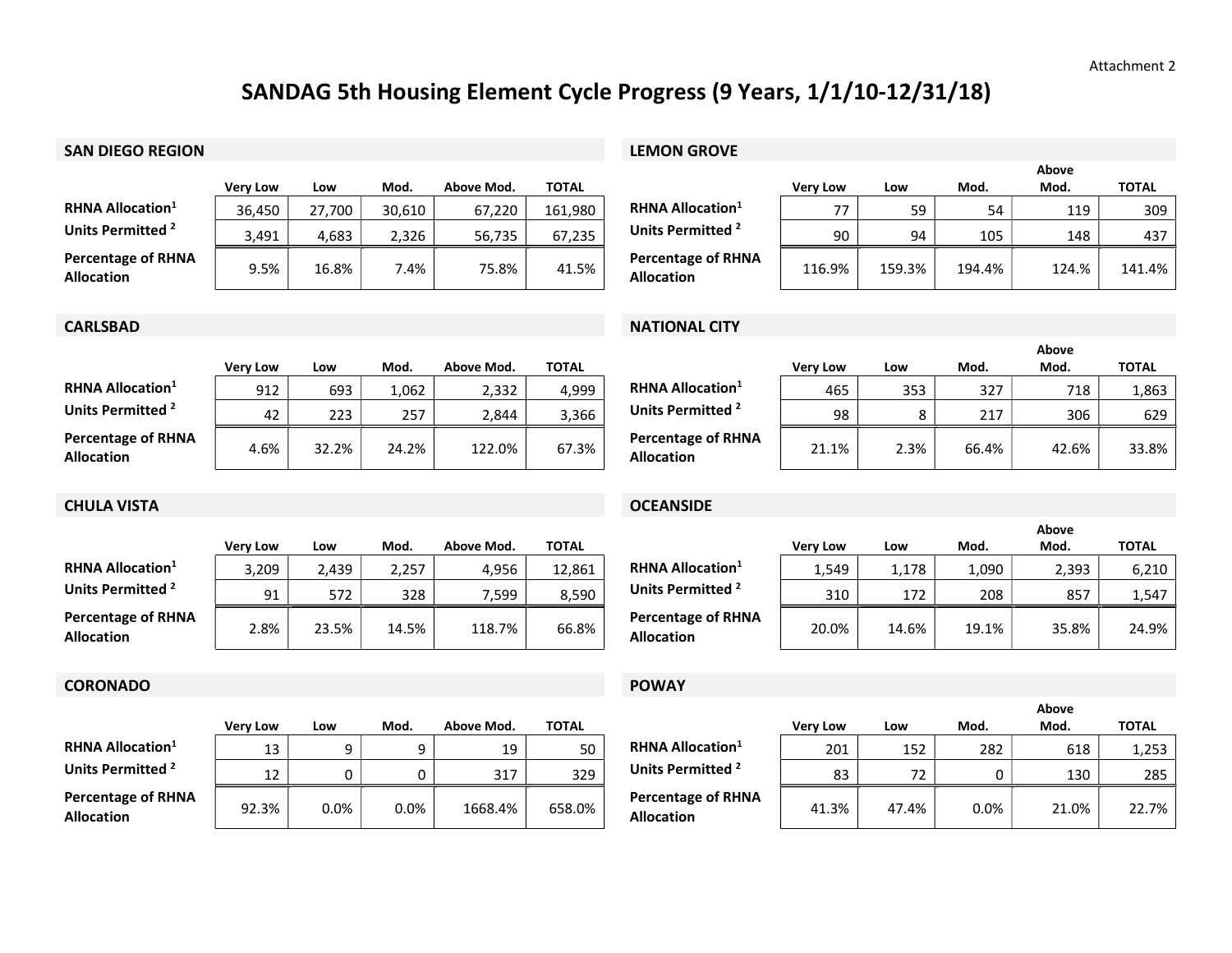## SANDAG 5th Housing Element Cycle Progress (9 Years, 1/1/10-12/31/18)

## SAN DIEGO REGION **SAN DIEGO REGION**

|                                                | <b>Verv Low</b> | Low    | Mod.   | Above Mod. | <b>TOTAL</b> |                                                | Verv Low | Low    | Mod.   | Mod.  | <b>TOTAL</b> |
|------------------------------------------------|-----------------|--------|--------|------------|--------------|------------------------------------------------|----------|--------|--------|-------|--------------|
| <b>RHNA Allocation</b> <sup>1</sup>            | 36.450          | 27.700 | 30.610 | 67.220     | 161.980      | <b>RHNA Allocation</b> <sup>1</sup>            | 77       | 59     |        | 119   | 309          |
| Units Permitted <sup>2</sup>                   | 3,491           | 4.683  | 2.326  | 56.735     | 67.235       | Units Permitted <sup>2</sup>                   | 90       | 94     | 105    | 148   | 437          |
| <b>Percentage of RHNA</b><br><b>Allocation</b> | 9.5%            | 16.8%  | '.4%   | 75.8%      | 41.5%        | <b>Percentage of RHNA</b><br><b>Allocation</b> | 116.9%   | 159.3% | 194.4% | 124.% | 141.4%       |

|                                                |                 |        | Above  |       |              |  |  |  |
|------------------------------------------------|-----------------|--------|--------|-------|--------------|--|--|--|
|                                                | <b>Very Low</b> | Low    | Mod.   | Mod.  | <b>TOTAL</b> |  |  |  |
| RHNA Allocation $^1$                           | 77              | 59     | 54     | 119   | 309          |  |  |  |
| Units Permitted <sup>2</sup>                   | 90              | 94     | 105    | 148   | 437          |  |  |  |
| <b>Percentage of RHNA</b><br><b>Allocation</b> | 116.9%          | 159.3% | 194.4% | 124.% | 141.4%       |  |  |  |

|                                                | <b>Very Low</b> | Low   | Mod.  | Above Mod. | <b>TOTAL</b> |                                                | Verv Low | Low  | Mod.  | Mod.  | <b>TOTAL</b> |
|------------------------------------------------|-----------------|-------|-------|------------|--------------|------------------------------------------------|----------|------|-------|-------|--------------|
| <b>RHNA Allocation</b> <sup>1</sup>            | 912             | 693   | 1,062 | 2.332      | 4.999        | <b>RHNA Allocation</b> <sup>1</sup>            | 465      | 353  | 327   | 718   | 1,863        |
| Units Permitted <sup>2</sup>                   | 42              | 223   | 257   | 2.844      | 3,366        | Units Permitted <sup>2</sup>                   | 98       |      | 217   | 306   | 629          |
| <b>Percentage of RHNA</b><br><b>Allocation</b> | 4.6%            | 32.2% | 24.2% | 122.0%     | 67.3%        | <b>Percentage of RHNA</b><br><b>Allocation</b> | 21.1%    | 2.3% | 66.4% | 42.6% | 33.8%        |

### **CARLSBAD** NATIONAL CITY

|                                                |                 |      | Above |       |              |  |  |  |
|------------------------------------------------|-----------------|------|-------|-------|--------------|--|--|--|
|                                                | <b>Very Low</b> | Low  | Mod.  | Mod.  | <b>TOTAL</b> |  |  |  |
| <b>RHNA Allocation</b> <sup>1</sup>            | 465             | 353  | 327   | 718   | 1,863        |  |  |  |
| Units Permitted <sup>2</sup>                   | 98              | 8    | 217   | 306   | 629          |  |  |  |
| <b>Percentage of RHNA</b><br><b>Allocation</b> | 21.1%           | 2.3% | 66.4% | 42.6% | 33.8%        |  |  |  |

## CHULA VISTA OCEANSIDE

|                                                | <b>Verv Low</b> | Low   | Mod.  | Above Mod. | <b>TOTAL</b> |                                                | <b>Very Low</b> | Low   | Mod.  | Mod.  | <b>TOTAL</b> |
|------------------------------------------------|-----------------|-------|-------|------------|--------------|------------------------------------------------|-----------------|-------|-------|-------|--------------|
| <b>RHNA Allocation</b> <sup>1</sup>            | 3,209           | 2.439 | 2.257 | 4.956      | 12.861       | <b>RHNA Allocation</b> <sup>1</sup>            | 549ء            | 1.178 | 090,  | 2,393 | 6,210        |
| Units Permitted <sup>2</sup>                   | 91              | 572   | 328   | 7,599      | 8,590        | Units Permitted <sup>2</sup>                   | 310             | 172   | 208   | 857   | 1,547        |
| <b>Percentage of RHNA</b><br><b>Allocation</b> | 2.8%            | 23.5% | 14.5% | 118.7%     | 66.8%        | <b>Percentage of RHNA</b><br><b>Allocation</b> | 20.0%           | 14.6% | 19.1% | 35.8% | 24.9%        |

## CORONADO POWAY

|                                                | <b>Verv Low</b> | Low  | Mod.    | Above Mod. | TOTAL  |                                                | <b>Very Low</b> | Low   | Mod. | Mod.  | <b>TOTAL</b> |
|------------------------------------------------|-----------------|------|---------|------------|--------|------------------------------------------------|-----------------|-------|------|-------|--------------|
| <b>RHNA Allocation</b> <sup>1</sup>            | 13              |      |         | 19         | 50     | <b>RHNA Allocation</b> <sup>1</sup>            | 201             | 152   | 282  | 618   | 1,253        |
| Units Permitted <sup>2</sup>                   | 12              |      |         | 317        | 329    | Units Permitted <sup>2</sup>                   | 83              | 70    |      | 130   | 285          |
| <b>Percentage of RHNA</b><br><b>Allocation</b> | 92.3%           | 0.0% | $0.0\%$ | 1668.4%    | 658.0% | <b>Percentage of RHNA</b><br><b>Allocation</b> | 41.3%           | 47.4% | 0.0% | 21.0% | 22.7%        |

|                                                |                 |       |       | Above |              |
|------------------------------------------------|-----------------|-------|-------|-------|--------------|
|                                                | <b>Very Low</b> | Low   | Mod.  | Mod.  | <b>TOTAL</b> |
| RHNA Allocation <sup>1</sup>                   | 1.549           | 1,178 | 1,090 | 2,393 | 6,210        |
| Units Permitted <sup>2</sup>                   | 310             | 172   | 208   | 857   | 1,547        |
| <b>Percentage of RHNA</b><br><b>Allocation</b> | 20.0%           | 14.6% | 19.1% | 35.8% | 24.9%        |

|                                                |                 |       | Above   |       |              |  |  |  |
|------------------------------------------------|-----------------|-------|---------|-------|--------------|--|--|--|
|                                                | <b>Very Low</b> | Low   | Mod.    | Mod.  | <b>TOTAL</b> |  |  |  |
| <b>RHNA Allocation</b> <sup>1</sup>            | 201             | 152   | 282     | 618   | 1,253        |  |  |  |
| Units Permitted <sup>2</sup>                   | 83              | 72    |         | 130   | 285          |  |  |  |
| <b>Percentage of RHNA</b><br><b>Allocation</b> | 41.3%           | 47.4% | $0.0\%$ | 21.0% | 22.7%        |  |  |  |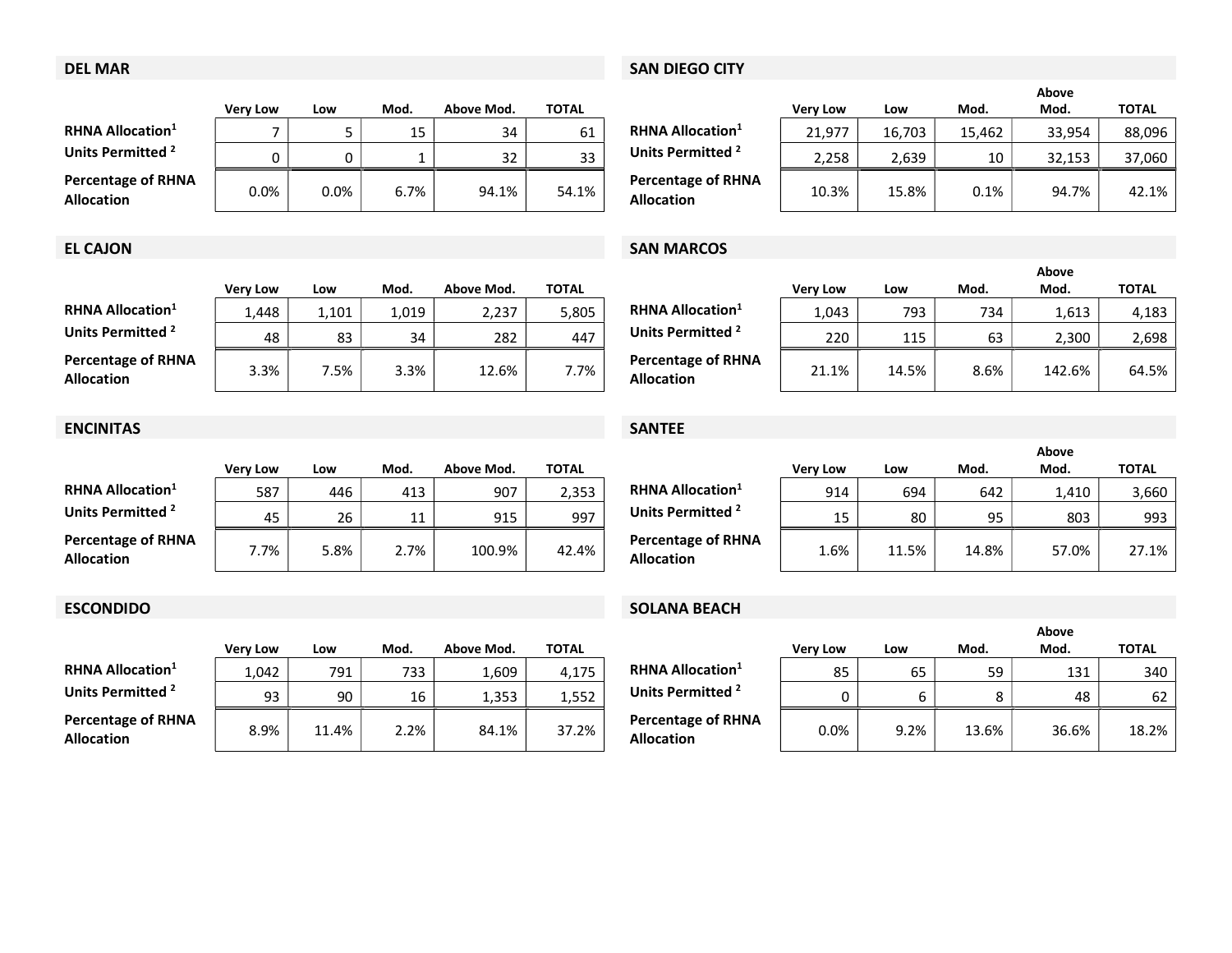## DEL MAR SAN DIEGO CITY

|                                                | <b>Verv Low</b> | Low     | Mod.    | Above Mod. | TOTAL |                                                | <b>Very Low</b> | Low    | Mod.    | Mod.   | <b>TOTAL</b> |
|------------------------------------------------|-----------------|---------|---------|------------|-------|------------------------------------------------|-----------------|--------|---------|--------|--------------|
| <b>RHNA Allocation</b> <sup>1</sup>            |                 |         | 15<br>ᅩ | 34         | 61    | <b>RHNA Allocation</b> <sup>1</sup>            | 21.977          | 16.703 | 15.462  | 33,954 | 88,096       |
| Units Permitted <sup>2</sup>                   | n               |         |         | 32         | 33    | Units Permitted <sup>2</sup>                   | 2.258           | 2.639  | 10      | 32.153 | 37,060       |
| <b>Percentage of RHNA</b><br><b>Allocation</b> | 0.0%            | $0.0\%$ | 6.7%    | 94.1%      | 54.1% | <b>Percentage of RHNA</b><br><b>Allocation</b> | 10.3%           | 15.8%  | $0.1\%$ | 94.7%  | 42.1%        |

|                                                |                 |        | Above  |        |              |  |  |  |
|------------------------------------------------|-----------------|--------|--------|--------|--------------|--|--|--|
|                                                | <b>Very Low</b> | Low    | Mod.   | Mod.   | <b>TOTAL</b> |  |  |  |
| <b>RHNA Allocation</b> <sup>1</sup>            | 21,977          | 16,703 | 15,462 | 33,954 | 88,096       |  |  |  |
| Units Permitted <sup>2</sup>                   | 2,258           | 2,639  | 10     | 32,153 | 37,060       |  |  |  |
| <b>Percentage of RHNA</b><br><b>Allocation</b> | 10.3%           | 15.8%  | 0.1%   | 94.7%  | 42.1%        |  |  |  |

## EL CAJON SAN MARCOS

|          |       |       |            |       |                                                |                 |       |      | Above  |              |
|----------|-------|-------|------------|-------|------------------------------------------------|-----------------|-------|------|--------|--------------|
| Very Low | Low   | Mod.  | Above Mod. | TOTAL |                                                | <b>Verv Low</b> | Low   | Mod. | Mod.   | <b>TOTAL</b> |
| 1,448    | 1.101 | 1.019 | 2,237      | 5,805 | <b>RHNA Allocation</b> <sup>1</sup>            | 1,043           | 793   | 734  | 1,613  | 4,183        |
| 48       | 83    | 34    | 282        | 447   | Units Permitted <sup>2</sup>                   | 220             | 115   | 63   | 2,300  | 2,698        |
| 3.3%     | 7.5%  | 3.3%  | 12.6%      | 7.7%  | <b>Percentage of RHNA</b><br><b>Allocation</b> | 21.1%           | 14.5% | 8.6% | 142.6% | 64.5%        |

|                                                |                 |      |      |            |              |                                                |                 |       |       | Above |              |
|------------------------------------------------|-----------------|------|------|------------|--------------|------------------------------------------------|-----------------|-------|-------|-------|--------------|
|                                                | <b>Verv Low</b> | Low  | Mod. | Above Mod. | <b>TOTAL</b> |                                                | <b>Verv Low</b> | Low   | Mod.  | Mod.  | <b>TOTAL</b> |
| RHNA Allocation <sup>1</sup>                   | 587             | 446  | 413  | 907        | 2,353        | <b>RHNA Allocation</b> <sup>1</sup>            | 914             | 694   | 642   | 1,410 | 3,660        |
| Units Permitted <sup>2</sup>                   | 45              | 26   | ᆂᆂ   | 915        | 997          | Units Permitted <sup>2</sup>                   | 15              | 80    | 95    | 803   | 993          |
| <b>Percentage of RHNA</b><br><b>Allocation</b> | 7.7%            | 5.8% | 2.7% | 100.9%     | 42.4%        | <b>Percentage of RHNA</b><br><b>Allocation</b> | 1.6%            | 11.5% | 14.8% | 57.0% | 27.1%        |

## ESCONDIDO **SOLANA BEACH**

|                                                |                 |      |       | Above |              |
|------------------------------------------------|-----------------|------|-------|-------|--------------|
|                                                | <b>Very Low</b> | Low  | Mod.  | Mod.  | <b>TOTAL</b> |
| <b>RHNA Allocation</b> <sup>1</sup>            | 85              | 65   | 59    | 131   | 340          |
| Units Permitted <sup>2</sup>                   | 0               | 6    | 8     | 48    | 62           |
| <b>Percentage of RHNA</b><br><b>Allocation</b> | 0.0%            | 9.2% | 13.6% | 36.6% | 18.2%        |

|                                                | <b>Verv Low</b> | Low   | Mod.  | Above Mod. | <b>TOTAL</b> |                                                | <b>Very Low</b> | LOW   | Mod. | Mod.   | <b>TOTAL</b> |
|------------------------------------------------|-----------------|-------|-------|------------|--------------|------------------------------------------------|-----------------|-------|------|--------|--------------|
| $RHNA$ Allocation <sup>1</sup>                 | 1.448           | 1.101 | 1.019 | 2.237      | 5,805        | <b>RHNA Allocation</b> <sup>1</sup>            | 1.043           | 793   | 734  | 1.613  | 4.183        |
| Units Permitted <sup>2</sup>                   | 48              | 83    | 34    | 282        | 447          | Units Permitted <sup>2</sup>                   | 220             | 115   | 63   | 2.300  | 2,698        |
| <b>Percentage of RHNA</b><br><b>Allocation</b> | $3.3\%$         | 7.5%  | 3.3%  | 12.6%      | 7.7%         | <b>Percentage of RHNA</b><br><b>Allocation</b> | $21.1\%$        | 14.5% | 8.6% | 142.6% | 64.5%        |

|                                                | <b>Verv Low</b> | Low  | Mod. | Above Mod. | <b>TOTAL</b> |                                                | <b>Very Low</b> | Low   | Mod. |
|------------------------------------------------|-----------------|------|------|------------|--------------|------------------------------------------------|-----------------|-------|------|
| <b>RHNA Allocation</b> <sup>1</sup>            | 587             | 446  | 413  | 907        | 2.353        | <b>RHNA Allocation</b> <sup>1</sup>            | 914             | 694   | 64   |
| Units Permitted <sup>2</sup>                   | 45              | 26   | 11   | 915        | 997          | Units Permitted <sup>2</sup>                   | 15              | 80    |      |
| <b>Percentage of RHNA</b><br><b>Allocation</b> | 7.7%            | 5.8% | 2.7% | 100.9%     | 42.4%        | <b>Percentage of RHNA</b><br><b>Allocation</b> | 1.6%            | 11.5% | 14.8 |

|                                                | <b>Verv Low</b> | Low   | Mod. | Above Mod. | <b>TOTAL</b> |                                                | <b>Verv Low</b> | Low  | Mod.  | Mod.  | <b>TOTAL</b> |
|------------------------------------------------|-----------------|-------|------|------------|--------------|------------------------------------------------|-----------------|------|-------|-------|--------------|
| <b>RHNA Allocation</b> <sup>1</sup>            | 1,042           | 791   | 733  | 1,609      | 4,175        | <b>RHNA Allocation</b> <sup>1</sup>            | 85              | 65   | 59    | 131   | 340          |
| Units Permitted <sup>2</sup>                   | 93              | 90    | 16   | 1.353      | 1,552        | Units Permitted <sup>2</sup>                   |                 |      |       | 48    | 62           |
| <b>Percentage of RHNA</b><br><b>Allocation</b> | 8.9%            | 11.4% | 2.2% | 84.1%      | 37.2%        | <b>Percentage of RHNA</b><br><b>Allocation</b> | $0.0\%$         | 9.2% | 13.6% | 36.6% | 18.2%        |

| 997 | <b>Units Permitt</b>              |
|-----|-----------------------------------|
| .4% | Percentage o<br><b>Allocation</b> |

# ENCINITAS SANTEE